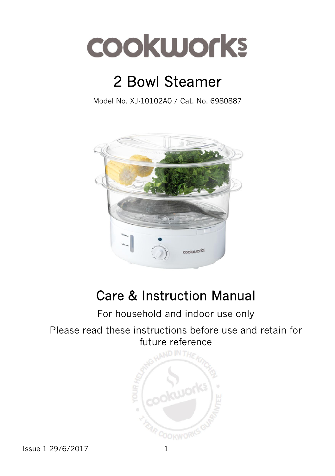

# 2 Bowl Steamer

Model No. XJ-10102A0 / Cat. No. 6980887



## Care & Instruction Manual

## For household and indoor use only

#### Please read these instructions before use and retain for future reference



Issue 1 29/6/2017 1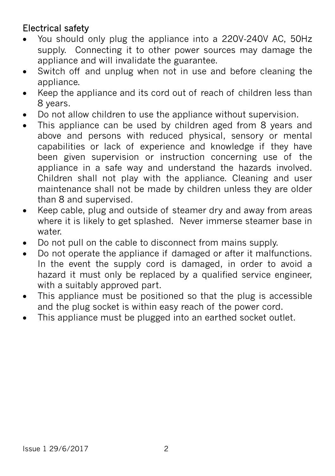## Electrical safety

- You should only plug the appliance into a 220V‐240V AC, 50Hz supply. Connecting it to other power sources may damage the appliance and will invalidate the guarantee.
- Switch off and unplug when not in use and before cleaning the appliance.
- Keep the appliance and its cord out of reach of children less than 8 years.
- Do not allow children to use the appliance without supervision.
- This appliance can be used by children aged from 8 years and above and persons with reduced physical, sensory or mental capabilities or lack of experience and knowledge if they have been given supervision or instruction concerning use of the appliance in a safe way and understand the hazards involved. Children shall not play with the appliance. Cleaning and user maintenance shall not be made by children unless they are older than 8 and supervised.
- Keep cable, plug and outside of steamer dry and away from areas where it is likely to get splashed. Never immerse steamer base in water.
- Do not pull on the cable to disconnect from mains supply.
- Do not operate the appliance if damaged or after it malfunctions. In the event the supply cord is damaged, in order to avoid a hazard it must only be replaced by a qualified service engineer, with a suitably approved part.
- This appliance must be positioned so that the plug is accessible and the plug socket is within easy reach of the power cord.
- This appliance must be plugged into an earthed socket outlet.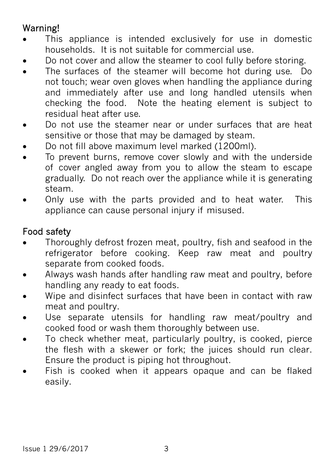## Warning!

- This appliance is intended exclusively for use in domestic households. It is not suitable for commercial use.
- Do not cover and allow the steamer to cool fully before storing.
- The surfaces of the steamer will become hot during use. Do not touch; wear oven gloves when handling the appliance during and immediately after use and long handled utensils when checking the food. Note the heating element is subject to residual heat after use.
- Do not use the steamer near or under surfaces that are heat sensitive or those that may be damaged by steam.
- Do not fill above maximum level marked (1200ml).
- To prevent burns, remove cover slowly and with the underside of cover angled away from you to allow the steam to escape gradually. Do not reach over the appliance while it is generating steam.
- Only use with the parts provided and to heat water. This appliance can cause personal injury if misused.

#### Food safety

- Thoroughly defrost frozen meat, poultry, fish and seafood in the refrigerator before cooking. Keep raw meat and poultry separate from cooked foods.
- Always wash hands after handling raw meat and poultry, before handling any ready to eat foods.
- Wipe and disinfect surfaces that have been in contact with raw meat and poultry.
- Use separate utensils for handling raw meat/poultry and cooked food or wash them thoroughly between use.
- To check whether meat, particularly poultry, is cooked, pierce the flesh with a skewer or fork; the juices should run clear. Ensure the product is piping hot throughout.
- Fish is cooked when it appears opaque and can be flaked easily.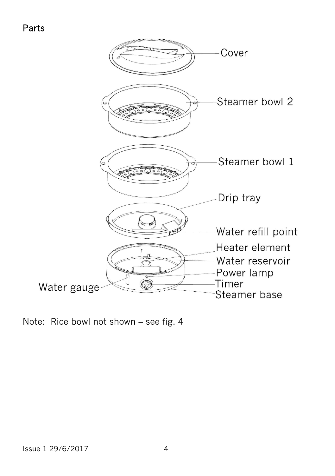#### Parts



Note: Rice bowl not shown – see fig. 4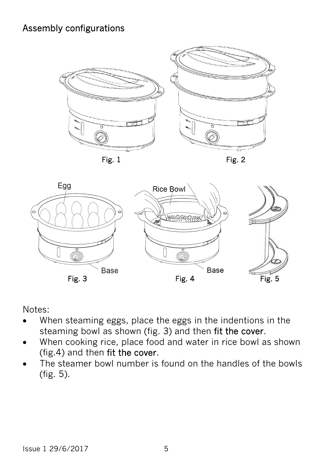#### Assembly configurations





Notes:

- When steaming eggs, place the eggs in the indentions in the steaming bowl as shown (fig. 3) and then fit the cover.
- When cooking rice, place food and water in rice bowl as shown (fig.4) and then fit the cover.
- The steamer bowl number is found on the handles of the bowls (fig. 5).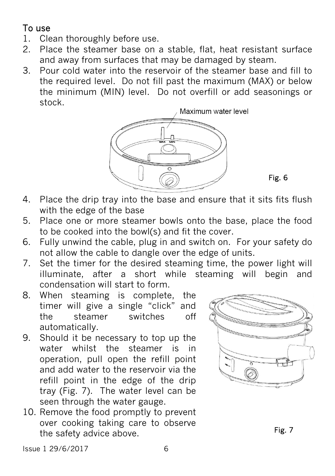#### To use

- 1. Clean thoroughly before use.
- 2. Place the steamer base on a stable, flat, heat resistant surface and away from surfaces that may be damaged by steam.
- 3. Pour cold water into the reservoir of the steamer base and fill to the required level. Do not fill past the maximum (MAX) or below the minimum (MIN) level. Do not overfill or add seasonings or stock.



Fig. 6

- 4. Place the drip tray into the base and ensure that it sits fits flush with the edge of the base
- 5. Place one or more steamer bowls onto the base, place the food to be cooked into the bowl(s) and fit the cover.
- 6. Fully unwind the cable, plug in and switch on. For your safety do not allow the cable to dangle over the edge of units.
- 7. Set the timer for the desired steaming time, the power light will illuminate, after a short while steaming will begin and condensation will start to form.
- 8. When steaming is complete, the timer will give a single "click" and the steamer switches off automatically.
- 9. Should it be necessary to top up the water whilst the steamer is in operation, pull open the refill point and add water to the reservoir via the refill point in the edge of the drip tray (Fig. 7). The water level can be seen through the water gauge.
- 10. Remove the food promptly to prevent over cooking taking care to observe the safety advice above.



Issue 1 29/6/2017 6

Fig. 7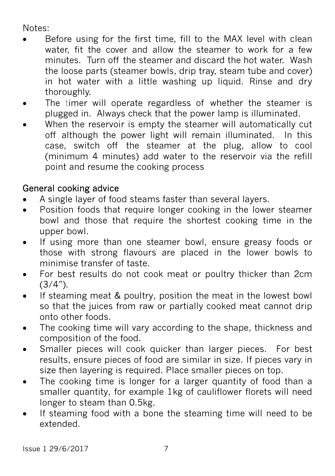#### Notes:

- Before using for the first time, fill to the MAX level with clean water, fit the cover and allow the steamer to work for a few minutes. Turn off the steamer and discard the hot water. Wash the loose parts (steamer bowls, drip tray, steam tube and cover) in hot water with a little washing up liquid. Rinse and dry thoroughly.
- The timer will operate regardless of whether the steamer is plugged in. Always check that the power lamp is illuminated.
- When the reservoir is empty the steamer will automatically cut off although the power light will remain illuminated. In this case, switch off the steamer at the plug, allow to cool (minimum 4 minutes) add water to the reservoir via the refill point and resume the cooking process

#### General cooking advice

- A single layer of food steams faster than several layers.
- Position foods that require longer cooking in the lower steamer bowl and those that require the shortest cooking time in the upper bowl.
- If using more than one steamer bowl, ensure greasy foods or those with strong flavours are placed in the lower bowls to minimise transfer of taste.
- For best results do not cook meat or poultry thicker than 2cm  $(3/4")$ .
- If steaming meat & poultry, position the meat in the lowest bowl so that the juices from raw or partially cooked meat cannot drip onto other foods.
- The cooking time will vary according to the shape, thickness and composition of the food.
- Smaller pieces will cook quicker than larger pieces. For best results, ensure pieces of food are similar in size. If pieces vary in size then layering is required. Place smaller pieces on top.
- The cooking time is longer for a larger quantity of food than a smaller quantity, for example 1kg of cauliflower florets will need longer to steam than 0.5kg.
- If steaming food with a bone the steaming time will need to be extended.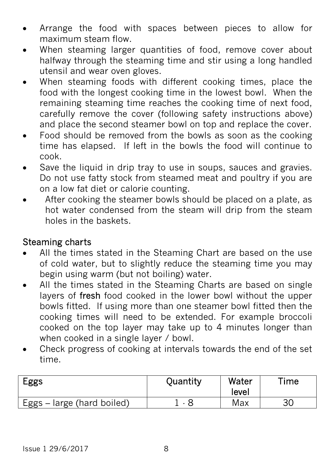- Arrange the food with spaces between pieces to allow for maximum steam flow.
- When steaming larger quantities of food, remove cover about halfway through the steaming time and stir using a long handled utensil and wear oven gloves.
- When steaming foods with different cooking times, place the food with the longest cooking time in the lowest bowl. When the remaining steaming time reaches the cooking time of next food, carefully remove the cover (following safety instructions above) and place the second steamer bowl on top and replace the cover.
- Food should be removed from the bowls as soon as the cooking time has elapsed. If left in the bowls the food will continue to cook.
- Save the liquid in drip tray to use in soups, sauces and gravies. Do not use fatty stock from steamed meat and poultry if you are on a low fat diet or calorie counting.
- After cooking the steamer bowls should be placed on a plate, as hot water condensed from the steam will drip from the steam holes in the baskets.

#### Steaming charts

- All the times stated in the Steaming Chart are based on the use of cold water, but to slightly reduce the steaming time you may begin using warm (but not boiling) water.
- All the times stated in the Steaming Charts are based on single layers of fresh food cooked in the lower bowl without the upper bowls fitted. If using more than one steamer bowl fitted then the cooking times will need to be extended. For example broccoli cooked on the top layer may take up to 4 minutes longer than when cooked in a single layer / bowl.
- Check progress of cooking at intervals towards the end of the set time.

| Eggs                       | Quantity | Water<br>level | $\mathsf{Time}$ |
|----------------------------|----------|----------------|-----------------|
| Eggs - large (hard boiled) |          | Max            | 30              |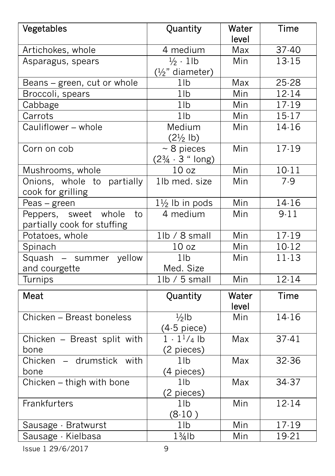| Vegetables                                                   | Quantity                                                   | Water<br>level | Time      |
|--------------------------------------------------------------|------------------------------------------------------------|----------------|-----------|
| Artichokes, whole                                            | 4 medium                                                   | Max            | 37-40     |
| Asparagus, spears                                            | $\frac{1}{2}$ · 1lb                                        | Min            | 13-15     |
|                                                              | $(\frac{1}{2}$ " diameter)                                 |                |           |
| Beans – green, cut or whole                                  | 1 <sub>lb</sub>                                            | Max            | 25-28     |
| Broccoli, spears                                             | 1 <sub>lb</sub>                                            | Min            | $12 - 14$ |
| Cabbage                                                      | $1$ Ib                                                     | Min            | $17 - 19$ |
| Carrots                                                      | 1 <sub>lb</sub>                                            | Min            | $15-17$   |
| Cauliflower - whole                                          | Medium<br>$(2\frac{1}{2}$ lb)                              | Min            | 14-16     |
| Corn on cob                                                  | $\sim$ 8 pieces<br>$(2\frac{3}{4} \cdot 3 \text{ " long})$ | Min            | $17-19$   |
| Mushrooms, whole                                             | 10 <sub>oz</sub>                                           | Min            | $10 - 11$ |
| Onions, whole to partially<br>cook for grilling              | 1lb med. size                                              | Min            | 7.9       |
| Peas – green                                                 | $1\frac{1}{2}$ lb in pods                                  | Min            | 14-16     |
| Peppers, sweet<br>whole<br>to<br>partially cook for stuffing | 4 medium                                                   | Min            | 9.11      |
| Potatoes, whole                                              | 1lb / 8 small                                              | Min            | $17 - 19$ |
| Spinach                                                      | 10 <sub>oz</sub>                                           | Min            | 10-12     |
| Squash - summer yellow                                       | 1 <sub>lb</sub>                                            | Min            | $11 - 13$ |
| and courgette                                                | Med. Size                                                  |                |           |
| Turnips                                                      | $1$ lb / 5 small                                           | Min            | $12 - 14$ |
| Meat                                                         | Quantity                                                   | Water<br>level | Time      |
| Chicken - Breast boneless                                    | $1/2$ lb<br>$(4.5$ piece)                                  | Min            | 14-16     |
| Chicken - Breast split with<br>bone                          | $1 \cdot 1^{1/4}$ lb<br>(2 pieces)                         | Max            | $37 - 41$ |
| Chicken - drumstick with<br>bone                             | 1 <sub>lb</sub><br>(4 pieces)                              | Max            | 32.36     |
| Chicken – thigh with bone                                    | 1 <sub>lb</sub><br>(2 pieces)                              | Max            | 34-37     |
| Frankfurters                                                 | 1 <sub>lb</sub><br>(8.10)                                  | Min            | $12 - 14$ |
| Sausage - Bratwurst                                          | 1 <sub>lb</sub>                                            | Min            | $17-19$   |
| Sausage - Kielbasa                                           | $1\frac{3}{4}$ lb                                          | Min            | 19-21     |

Issue 1 29/6/2017 9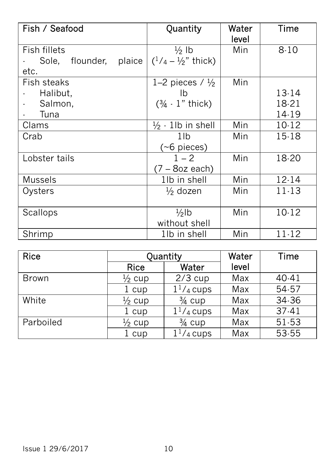| Fish / Seafood            | Quantity                       | Water<br>level | Time      |
|---------------------------|--------------------------------|----------------|-----------|
| Fish fillets              | $\frac{1}{2}$ lb               | Min            | $8 - 10$  |
| Sole, flounder,<br>plaice | $(1/4 - \frac{1}{2})$ " thick) |                |           |
| etc.                      |                                |                |           |
| Fish steaks               | 1–2 pieces / $\frac{1}{2}$     | Min            |           |
| Halibut,                  | Ib                             |                | 13-14     |
| Salmon,                   | $(3/4 \cdot 1"$ thick)         |                | 18-21     |
| Tuna                      |                                |                | 14-19     |
| Clams                     | $\frac{1}{2}$ · 1lb in shell   | Min            | 10-12     |
| Crab                      | 1lb                            | Min            | $15 - 18$ |
|                           | $(\sim 6$ pieces)              |                |           |
| Lobster tails             | $1 - 2$                        | Min            | 18-20     |
|                           | $(7 - 8$ oz each)              |                |           |
| <b>Mussels</b>            | 1lb in shell                   | Min            | $12 - 14$ |
| Oysters                   | $\frac{1}{2}$ dozen            | Min            | $11-13$   |
|                           |                                |                |           |
| Scallops                  | $\frac{1}{2}$ lb               | Min            | $10 - 12$ |
|                           | without shell                  |                |           |
| Shrimp                    | 1lb in shell                   | Min            | $11 - 12$ |

| <b>Rice</b>  | Quantity          |                   | Water | Time    |
|--------------|-------------------|-------------------|-------|---------|
|              | <b>Rice</b>       | Water             | level |         |
| <b>Brown</b> | $\frac{1}{2}$ cup | $2/3$ cup         | Max   | 40-41   |
|              | 1 cup             | $11/4$ cups       | Max   | 54-57   |
| White        | $\frac{1}{2}$ cup | $\frac{3}{4}$ cup | Max   | 34-36   |
|              | 1 cup             | $11/4$ cups       | Max   | $37-41$ |
| Parboiled    | $\frac{1}{2}$ cup | $\frac{3}{4}$ cup | Max   | 51-53   |
|              | 1 cup             | $11/4$ cups       | Max   | 53-55   |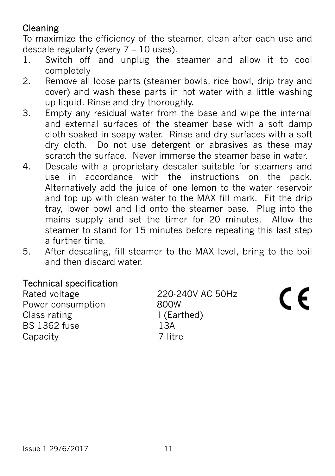## Cleaning

To maximize the efficiency of the steamer, clean after each use and descale regularly (every 7 – 10 uses).

- 1. Switch off and unplug the steamer and allow it to cool completely
- 2. Remove all loose parts (steamer bowls, rice bowl, drip tray and cover) and wash these parts in hot water with a little washing up liquid. Rinse and dry thoroughly.
- 3. Empty any residual water from the base and wipe the internal and external surfaces of the steamer base with a soft damp cloth soaked in soapy water. Rinse and dry surfaces with a soft dry cloth. Do not use detergent or abrasives as these may scratch the surface. Never immerse the steamer base in water.
- 4. Descale with a proprietary descaler suitable for steamers and use in accordance with the instructions on the pack. Alternatively add the juice of one lemon to the water reservoir and top up with clean water to the MAX fill mark. Fit the drip tray, lower bowl and lid onto the steamer base. Plug into the mains supply and set the timer for 20 minutes. Allow the steamer to stand for 15 minutes before repeating this last step a further time.
- 5. After descaling, fill steamer to the MAX level, bring to the boil and then discard water.

#### Technical specification

Rated voltage 220-240V AC 50Hz Power consumption 800W Class rating The Solution of Class rating 1362 fuse 138  $BS$  1362 fuse Capacity 7 litre

( F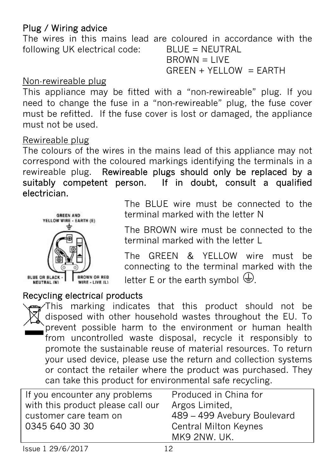#### Plug / Wiring advice

The wires in this mains lead are coloured in accordance with the following UK electrical code: BLUE = NEUTRAL  $B$ R $OWN = I$  IVF

 $GREEN + YELLOW = EARTH$ 

#### Non-rewireable plug

This appliance may be fitted with a "non-rewireable" plug. If you need to change the fuse in a "non‐rewireable" plug, the fuse cover must be refitted. If the fuse cover is lost or damaged, the appliance must not be used.

#### Rewireable plug

The colours of the wires in the mains lead of this appliance may not correspond with the coloured markings identifying the terminals in a rewireable plug. Rewireable plugs should only be replaced by a suitably competent person. If in doubt, consult a qualified electrician.



The BLUE wire must be connected to the terminal marked with the letter N

The BROWN wire must be connected to the terminal marked with the letter L

The GREEN & YELLOW wire must be connecting to the terminal marked with the letter E or the earth symbol  $\bigoplus$ .

#### Recycling electrical products

This marking indicates that this product should not be disposed with other household wastes throughout the EU. To prevent possible harm to the environment or human health from uncontrolled waste disposal, recycle it responsibly to promote the sustainable reuse of material resources. To return your used device, please use the return and collection systems or contact the retailer where the product was purchased. They can take this product for environmental safe recycling.

| If you encounter any problems     | Produced in China for        |
|-----------------------------------|------------------------------|
| with this product please call our | Argos Limited,               |
| customer care team on             | 489 - 499 Avebury Boulevard  |
| 0345 640 30 30                    | <b>Central Milton Keynes</b> |
|                                   | MK9 2NW. UK.                 |